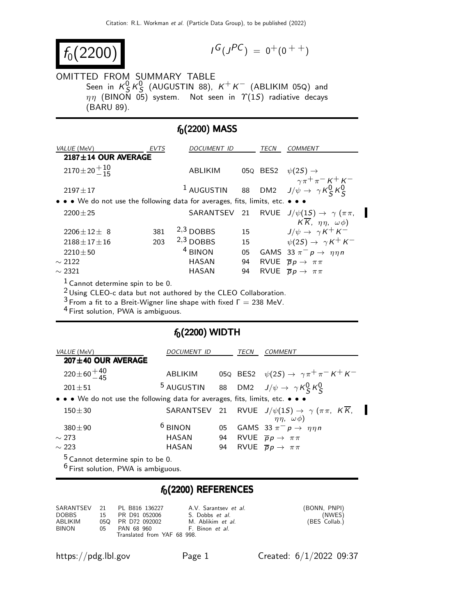$$
f_0(2200)
$$

$$
I^G(J^{PC}) = 0^+(0^{++})
$$

## OMITTED FROM SUMMARY TABLE

Seen in  $K_S^0 K_S^0$  (AUGUSTIN 88),  $K^+ K^-$  (ABLIKIM 05Q) and  $\eta\eta$  (BINON 05) system. Not seen in  $\varUpsilon(1S)$  radiative decays (BARU 89).

## $f_0(2200)$  MASS

| VALUE (MeV)                                                                   | EVTS | <i>DOCUMENT ID</i>    |    | TECN     | <i>COMMENT</i>                                              |
|-------------------------------------------------------------------------------|------|-----------------------|----|----------|-------------------------------------------------------------|
| $2187 \pm 14$ OUR AVERAGE                                                     |      |                       |    |          |                                                             |
| $2170 \pm 20 + 10$                                                            |      | <b>ABLIKIM</b>        |    | 05Q BES2 | $\psi(2S) \rightarrow$                                      |
| $2197 \pm 17$                                                                 |      | <sup>1</sup> AUGUSTIN |    |          | 88 DM2 $J/\psi \rightarrow \gamma K^0 K^0$                  |
| • • • We do not use the following data for averages, fits, limits, etc. • • • |      |                       |    |          |                                                             |
| $2200 + 25$                                                                   |      |                       |    |          | SARANTSEV 21 RVUE $J/\psi(1S) \rightarrow \gamma (\pi \pi,$ |
|                                                                               |      |                       |    |          | $K\overline{K}$ , $\eta\eta$ , $\omega\phi$ )               |
| $2206 \pm 12 \pm 8$                                                           | 381  | $2,3$ DOBBS           | 15 |          | $J/\psi \rightarrow \gamma K^+ K^-$                         |
| $2188 \pm 17 \pm 16$                                                          | 203  | $2,3$ DOBBS           | 15 |          | $\psi(2S) \rightarrow \gamma K^+ K^-$                       |
| $2210 + 50$                                                                   |      | $4$ BINON             | 05 |          | GAMS 33 $\pi^- p \rightarrow \eta \eta n$                   |
| $\sim$ 2122                                                                   |      | HASAN                 | 94 |          | RVUE $\overline{p}p \rightarrow \pi \pi$                    |
| $\sim$ 2321                                                                   |      | HASAN                 | 94 |          | RVUE $\overline{p}p \rightarrow \pi \pi$                    |
| $\mathbf{H}$                                                                  |      |                       |    |          |                                                             |

1 Cannot determine spin to be 0.

 $2$  Using CLEO-c data but not authored by the CLEO Collaboration.

 $3$  From a fit to a Breit-Wigner line shape with fixed  $\Gamma = 238$  MeV.

4 First solution, PWA is ambiguous.

## $f_0(2200)$  WIDTH

| VALUE (MeV)                                                                   | <i>DOCUMENT ID</i> |    | TECN | COMMENT                                                                                                      |
|-------------------------------------------------------------------------------|--------------------|----|------|--------------------------------------------------------------------------------------------------------------|
| $207 \pm 40$ OUR AVERAGE                                                      |                    |    |      |                                                                                                              |
| $220 \pm 60 + \frac{40}{45}$                                                  | ABLIKIM            |    |      | 05Q BES2 $\psi(2S) \rightarrow \gamma \pi^+ \pi^- K^+ K^-$                                                   |
| $201 + 51$                                                                    |                    |    |      | <sup>5</sup> AUGUSTIN 88 DM2 $J/\psi \rightarrow \gamma K_S^0 K_S^0$                                         |
| • • • We do not use the following data for averages, fits, limits, etc. • • • |                    |    |      |                                                                                                              |
| $150 + 30$                                                                    |                    |    |      | SARANTSEV 21 RVUE $J/\psi(1S) \rightarrow \gamma (\pi \pi, K \overline{K})$<br>$\eta \eta$ , $\omega \phi$ ) |
| $380 + 90$                                                                    | $6$ BINON          | 05 |      | GAMS 33 $\pi^- p \rightarrow \eta \eta n$                                                                    |
| $\sim$ 273                                                                    | HASAN              | 94 |      | RVUE $\overline{p}p \rightarrow \pi \pi$                                                                     |
| $\sim$ 223                                                                    | HASAN              | 94 |      | RVUE $\overline{p}p \rightarrow \pi \pi$                                                                     |
| <sup>5</sup> Cannot determine spin to be 0.                                   |                    |    |      |                                                                                                              |

<sup>6</sup> First solution, PWA is ambiguous.

## $f_0(2200)$  REFERENCES

|         |    | SARANTSEV 21 PL B816 136227       | A.V. Sarantsev <i>et al.</i> | (BONN, PNPI)  |
|---------|----|-----------------------------------|------------------------------|---------------|
| DOBBS   |    | 15 PR D91 052006                  | S. Dobbs et al.              | (NWES)        |
| ABLIKIM |    | 05Q PR D72 092002                 | M. Ablikim et al.            | (BES Collab.) |
| BINON   | 05 | <b>PAN 68 960</b> F. Binon et al. |                              |               |
|         |    | Translated from YAF 68 998.       |                              |               |

https://pdg.lbl.gov Page 1 Created: 6/1/2022 09:37